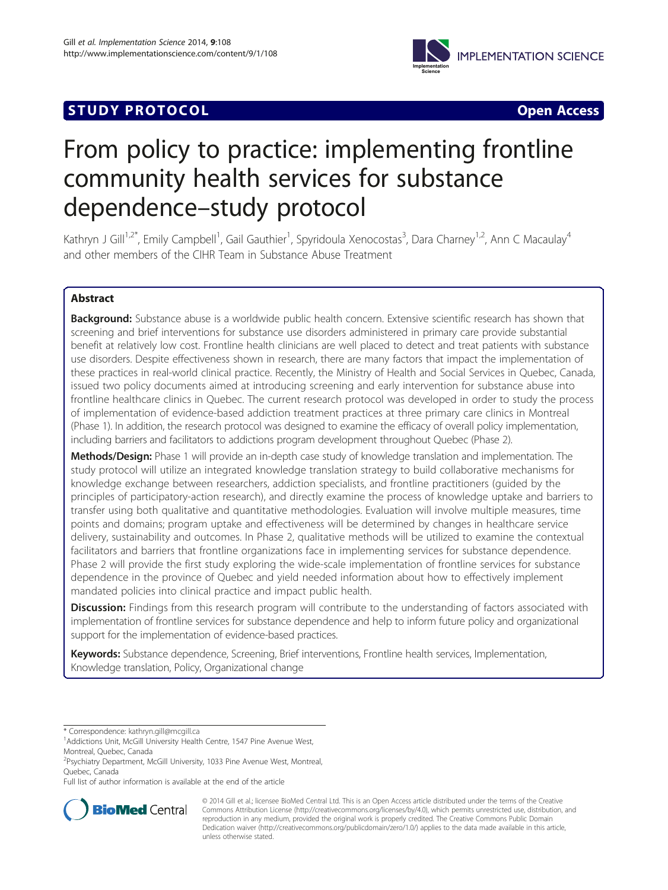## **STUDY PROTOCOL CONSUMING THE CONSUMING OPEN ACCESS**



# From policy to practice: implementing frontline community health services for substance dependence–study protocol

Kathryn J Gill<sup>1,2\*</sup>, Emily Campbell<sup>1</sup>, Gail Gauthier<sup>1</sup>, Spyridoula Xenocostas<sup>3</sup>, Dara Charney<sup>1,2</sup>, Ann C Macaulay<sup>4</sup> and other members of the CIHR Team in Substance Abuse Treatment

## Abstract

Background: Substance abuse is a worldwide public health concern. Extensive scientific research has shown that screening and brief interventions for substance use disorders administered in primary care provide substantial benefit at relatively low cost. Frontline health clinicians are well placed to detect and treat patients with substance use disorders. Despite effectiveness shown in research, there are many factors that impact the implementation of these practices in real-world clinical practice. Recently, the Ministry of Health and Social Services in Quebec, Canada, issued two policy documents aimed at introducing screening and early intervention for substance abuse into frontline healthcare clinics in Quebec. The current research protocol was developed in order to study the process of implementation of evidence-based addiction treatment practices at three primary care clinics in Montreal (Phase 1). In addition, the research protocol was designed to examine the efficacy of overall policy implementation, including barriers and facilitators to addictions program development throughout Quebec (Phase 2).

Methods/Design: Phase 1 will provide an in-depth case study of knowledge translation and implementation. The study protocol will utilize an integrated knowledge translation strategy to build collaborative mechanisms for knowledge exchange between researchers, addiction specialists, and frontline practitioners (guided by the principles of participatory-action research), and directly examine the process of knowledge uptake and barriers to transfer using both qualitative and quantitative methodologies. Evaluation will involve multiple measures, time points and domains; program uptake and effectiveness will be determined by changes in healthcare service delivery, sustainability and outcomes. In Phase 2, qualitative methods will be utilized to examine the contextual facilitators and barriers that frontline organizations face in implementing services for substance dependence. Phase 2 will provide the first study exploring the wide-scale implementation of frontline services for substance dependence in the province of Quebec and yield needed information about how to effectively implement mandated policies into clinical practice and impact public health.

**Discussion:** Findings from this research program will contribute to the understanding of factors associated with implementation of frontline services for substance dependence and help to inform future policy and organizational support for the implementation of evidence-based practices.

Keywords: Substance dependence, Screening, Brief interventions, Frontline health services, Implementation, Knowledge translation, Policy, Organizational change

Full list of author information is available at the end of the article



© 2014 Gill et al.; licensee BioMed Central Ltd. This is an Open Access article distributed under the terms of the Creative Commons Attribution License [\(http://creativecommons.org/licenses/by/4.0\)](http://creativecommons.org/licenses/by/4.0), which permits unrestricted use, distribution, and reproduction in any medium, provided the original work is properly credited. The Creative Commons Public Domain Dedication waiver [\(http://creativecommons.org/publicdomain/zero/1.0/](http://creativecommons.org/publicdomain/zero/1.0/)) applies to the data made available in this article, unless otherwise stated.

<sup>\*</sup> Correspondence: [kathryn.gill@mcgill.ca](mailto:kathryn.gill@mcgill.ca) <sup>1</sup>

<sup>&</sup>lt;sup>1</sup> Addictions Unit, McGill University Health Centre, 1547 Pine Avenue West, Montreal, Quebec, Canada

<sup>&</sup>lt;sup>2</sup>Psychiatry Department, McGill University, 1033 Pine Avenue West, Montreal, Quebec, Canada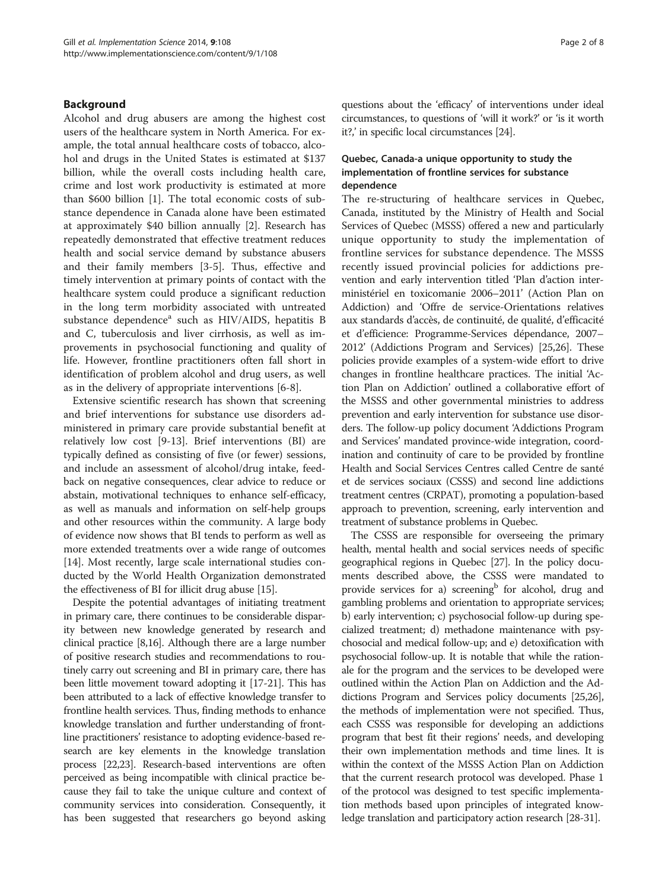## Background

Alcohol and drug abusers are among the highest cost users of the healthcare system in North America. For example, the total annual healthcare costs of tobacco, alcohol and drugs in the United States is estimated at \$137 billion, while the overall costs including health care, crime and lost work productivity is estimated at more than \$600 billion [[1\]](#page-6-0). The total economic costs of substance dependence in Canada alone have been estimated at approximately \$40 billion annually [[2\]](#page-6-0). Research has repeatedly demonstrated that effective treatment reduces health and social service demand by substance abusers and their family members [\[3](#page-6-0)-[5\]](#page-6-0). Thus, effective and timely intervention at primary points of contact with the healthcare system could produce a significant reduction in the long term morbidity associated with untreated substance dependence<sup>a</sup> such as HIV/AIDS, hepatitis B and C, tuberculosis and liver cirrhosis, as well as improvements in psychosocial functioning and quality of life. However, frontline practitioners often fall short in identification of problem alcohol and drug users, as well as in the delivery of appropriate interventions [\[6](#page-6-0)-[8\]](#page-6-0).

Extensive scientific research has shown that screening and brief interventions for substance use disorders administered in primary care provide substantial benefit at relatively low cost [[9](#page-6-0)[-13](#page-7-0)]. Brief interventions (BI) are typically defined as consisting of five (or fewer) sessions, and include an assessment of alcohol/drug intake, feedback on negative consequences, clear advice to reduce or abstain, motivational techniques to enhance self-efficacy, as well as manuals and information on self-help groups and other resources within the community. A large body of evidence now shows that BI tends to perform as well as more extended treatments over a wide range of outcomes [[14](#page-7-0)]. Most recently, large scale international studies conducted by the World Health Organization demonstrated the effectiveness of BI for illicit drug abuse [\[15\]](#page-7-0).

Despite the potential advantages of initiating treatment in primary care, there continues to be considerable disparity between new knowledge generated by research and clinical practice [\[8,](#page-6-0)[16](#page-7-0)]. Although there are a large number of positive research studies and recommendations to routinely carry out screening and BI in primary care, there has been little movement toward adopting it [[17](#page-7-0)-[21](#page-7-0)]. This has been attributed to a lack of effective knowledge transfer to frontline health services. Thus, finding methods to enhance knowledge translation and further understanding of frontline practitioners' resistance to adopting evidence-based research are key elements in the knowledge translation process [\[22,23](#page-7-0)]. Research-based interventions are often perceived as being incompatible with clinical practice because they fail to take the unique culture and context of community services into consideration. Consequently, it has been suggested that researchers go beyond asking

questions about the 'efficacy' of interventions under ideal circumstances, to questions of 'will it work?' or 'is it worth it?,' in specific local circumstances [[24](#page-7-0)].

## Quebec, Canada-a unique opportunity to study the implementation of frontline services for substance dependence

The re-structuring of healthcare services in Quebec, Canada, instituted by the Ministry of Health and Social Services of Quebec (MSSS) offered a new and particularly unique opportunity to study the implementation of frontline services for substance dependence. The MSSS recently issued provincial policies for addictions prevention and early intervention titled 'Plan d'action interministériel en toxicomanie 2006–2011' (Action Plan on Addiction) and 'Offre de service-Orientations relatives aux standards d'accès, de continuité, de qualité, d'efficacité et d'efficience: Programme-Services dépendance, 2007– 2012' (Addictions Program and Services) [\[25,26\]](#page-7-0). These policies provide examples of a system-wide effort to drive changes in frontline healthcare practices. The initial 'Action Plan on Addiction' outlined a collaborative effort of the MSSS and other governmental ministries to address prevention and early intervention for substance use disorders. The follow-up policy document 'Addictions Program and Services' mandated province-wide integration, coordination and continuity of care to be provided by frontline Health and Social Services Centres called Centre de santé et de services sociaux (CSSS) and second line addictions treatment centres (CRPAT), promoting a population-based approach to prevention, screening, early intervention and treatment of substance problems in Quebec.

The CSSS are responsible for overseeing the primary health, mental health and social services needs of specific geographical regions in Quebec [[27](#page-7-0)]. In the policy documents described above, the CSSS were mandated to provide services for a) screening<sup>b</sup> for alcohol, drug and gambling problems and orientation to appropriate services; b) early intervention; c) psychosocial follow-up during specialized treatment; d) methadone maintenance with psychosocial and medical follow-up; and e) detoxification with psychosocial follow-up. It is notable that while the rationale for the program and the services to be developed were outlined within the Action Plan on Addiction and the Addictions Program and Services policy documents [\[25,26](#page-7-0)], the methods of implementation were not specified. Thus, each CSSS was responsible for developing an addictions program that best fit their regions' needs, and developing their own implementation methods and time lines. It is within the context of the MSSS Action Plan on Addiction that the current research protocol was developed. Phase 1 of the protocol was designed to test specific implementation methods based upon principles of integrated knowledge translation and participatory action research [[28](#page-7-0)-[31](#page-7-0)].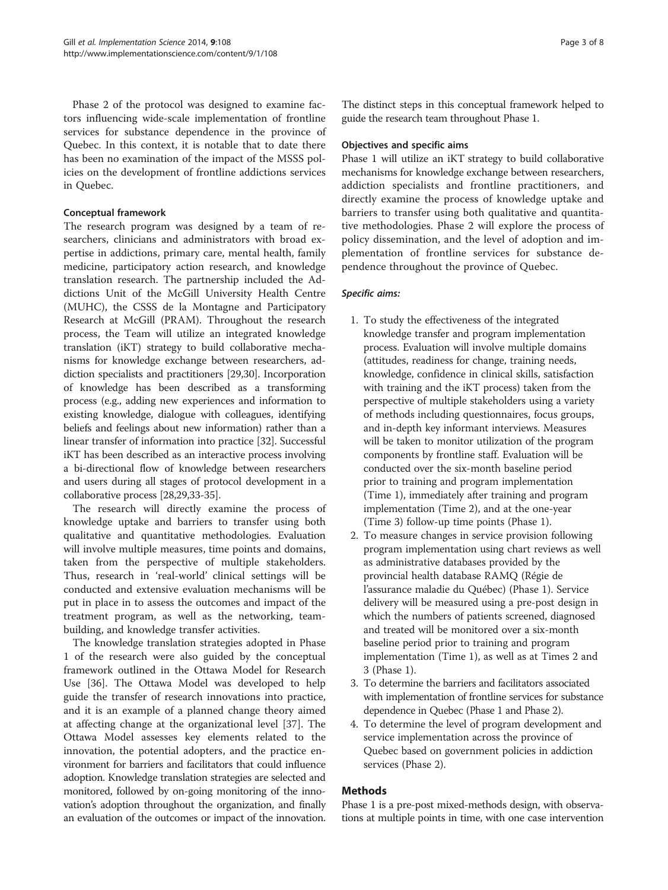Phase 2 of the protocol was designed to examine factors influencing wide-scale implementation of frontline services for substance dependence in the province of Quebec. In this context, it is notable that to date there has been no examination of the impact of the MSSS policies on the development of frontline addictions services in Quebec.

#### Conceptual framework

The research program was designed by a team of researchers, clinicians and administrators with broad expertise in addictions, primary care, mental health, family medicine, participatory action research, and knowledge translation research. The partnership included the Addictions Unit of the McGill University Health Centre (MUHC), the CSSS de la Montagne and Participatory Research at McGill (PRAM). Throughout the research process, the Team will utilize an integrated knowledge translation (iKT) strategy to build collaborative mechanisms for knowledge exchange between researchers, addiction specialists and practitioners [\[29,30\]](#page-7-0). Incorporation of knowledge has been described as a transforming process (e.g., adding new experiences and information to existing knowledge, dialogue with colleagues, identifying beliefs and feelings about new information) rather than a linear transfer of information into practice [\[32\]](#page-7-0). Successful iKT has been described as an interactive process involving a bi-directional flow of knowledge between researchers and users during all stages of protocol development in a collaborative process [[28,29,33-35\]](#page-7-0).

The research will directly examine the process of knowledge uptake and barriers to transfer using both qualitative and quantitative methodologies. Evaluation will involve multiple measures, time points and domains, taken from the perspective of multiple stakeholders. Thus, research in 'real-world' clinical settings will be conducted and extensive evaluation mechanisms will be put in place in to assess the outcomes and impact of the treatment program, as well as the networking, teambuilding, and knowledge transfer activities.

The knowledge translation strategies adopted in Phase 1 of the research were also guided by the conceptual framework outlined in the Ottawa Model for Research Use [[36\]](#page-7-0). The Ottawa Model was developed to help guide the transfer of research innovations into practice, and it is an example of a planned change theory aimed at affecting change at the organizational level [\[37](#page-7-0)]. The Ottawa Model assesses key elements related to the innovation, the potential adopters, and the practice environment for barriers and facilitators that could influence adoption. Knowledge translation strategies are selected and monitored, followed by on-going monitoring of the innovation's adoption throughout the organization, and finally an evaluation of the outcomes or impact of the innovation.

The distinct steps in this conceptual framework helped to guide the research team throughout Phase 1.

#### Objectives and specific aims

Phase 1 will utilize an iKT strategy to build collaborative mechanisms for knowledge exchange between researchers, addiction specialists and frontline practitioners, and directly examine the process of knowledge uptake and barriers to transfer using both qualitative and quantitative methodologies. Phase 2 will explore the process of policy dissemination, and the level of adoption and implementation of frontline services for substance dependence throughout the province of Quebec.

#### Specific aims:

- 1. To study the effectiveness of the integrated knowledge transfer and program implementation process. Evaluation will involve multiple domains (attitudes, readiness for change, training needs, knowledge, confidence in clinical skills, satisfaction with training and the iKT process) taken from the perspective of multiple stakeholders using a variety of methods including questionnaires, focus groups, and in-depth key informant interviews. Measures will be taken to monitor utilization of the program components by frontline staff. Evaluation will be conducted over the six-month baseline period prior to training and program implementation (Time 1), immediately after training and program implementation (Time 2), and at the one-year (Time 3) follow-up time points (Phase 1).
- 2. To measure changes in service provision following program implementation using chart reviews as well as administrative databases provided by the provincial health database RAMQ (Régie de l'assurance maladie du Québec) (Phase 1). Service delivery will be measured using a pre-post design in which the numbers of patients screened, diagnosed and treated will be monitored over a six-month baseline period prior to training and program implementation (Time 1), as well as at Times 2 and 3 (Phase 1).
- 3. To determine the barriers and facilitators associated with implementation of frontline services for substance dependence in Quebec (Phase 1 and Phase 2).
- 4. To determine the level of program development and service implementation across the province of Quebec based on government policies in addiction services (Phase 2).

## Methods

Phase 1 is a pre-post mixed-methods design, with observations at multiple points in time, with one case intervention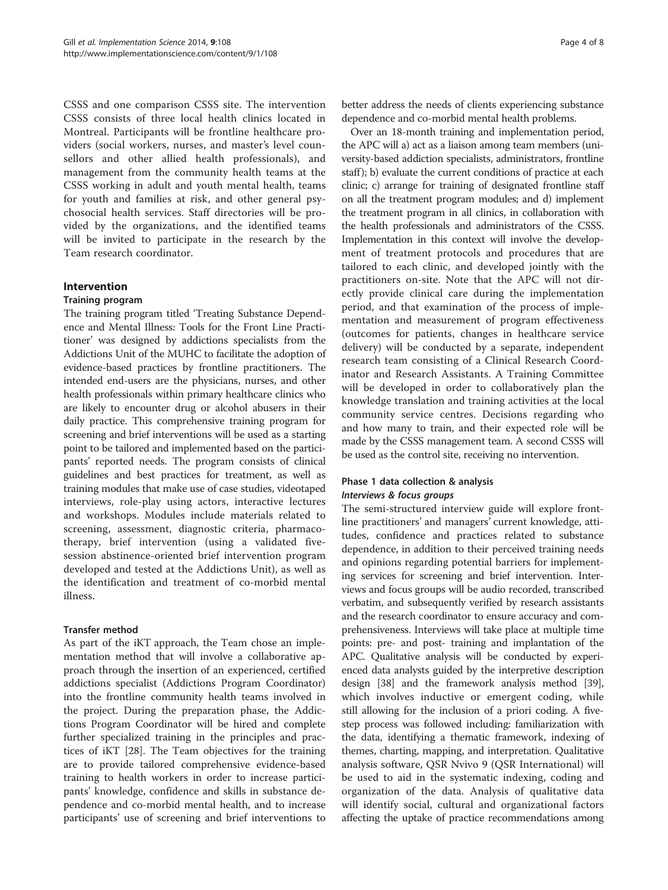CSSS and one comparison CSSS site. The intervention CSSS consists of three local health clinics located in Montreal. Participants will be frontline healthcare providers (social workers, nurses, and master's level counsellors and other allied health professionals), and management from the community health teams at the CSSS working in adult and youth mental health, teams for youth and families at risk, and other general psychosocial health services. Staff directories will be provided by the organizations, and the identified teams will be invited to participate in the research by the Team research coordinator.

## Intervention

## Training program

The training program titled 'Treating Substance Dependence and Mental Illness: Tools for the Front Line Practitioner' was designed by addictions specialists from the Addictions Unit of the MUHC to facilitate the adoption of evidence-based practices by frontline practitioners. The intended end-users are the physicians, nurses, and other health professionals within primary healthcare clinics who are likely to encounter drug or alcohol abusers in their daily practice. This comprehensive training program for screening and brief interventions will be used as a starting point to be tailored and implemented based on the participants' reported needs. The program consists of clinical guidelines and best practices for treatment, as well as training modules that make use of case studies, videotaped interviews, role-play using actors, interactive lectures and workshops. Modules include materials related to screening, assessment, diagnostic criteria, pharmacotherapy, brief intervention (using a validated fivesession abstinence-oriented brief intervention program developed and tested at the Addictions Unit), as well as the identification and treatment of co-morbid mental illness.

## Transfer method

As part of the iKT approach, the Team chose an implementation method that will involve a collaborative approach through the insertion of an experienced, certified addictions specialist (Addictions Program Coordinator) into the frontline community health teams involved in the project. During the preparation phase, the Addictions Program Coordinator will be hired and complete further specialized training in the principles and practices of iKT [\[28](#page-7-0)]. The Team objectives for the training are to provide tailored comprehensive evidence-based training to health workers in order to increase participants' knowledge, confidence and skills in substance dependence and co-morbid mental health, and to increase participants' use of screening and brief interventions to

better address the needs of clients experiencing substance dependence and co-morbid mental health problems.

Over an 18-month training and implementation period, the APC will a) act as a liaison among team members (university-based addiction specialists, administrators, frontline staff ); b) evaluate the current conditions of practice at each clinic; c) arrange for training of designated frontline staff on all the treatment program modules; and d) implement the treatment program in all clinics, in collaboration with the health professionals and administrators of the CSSS. Implementation in this context will involve the development of treatment protocols and procedures that are tailored to each clinic, and developed jointly with the practitioners on-site. Note that the APC will not directly provide clinical care during the implementation period, and that examination of the process of implementation and measurement of program effectiveness (outcomes for patients, changes in healthcare service delivery) will be conducted by a separate, independent research team consisting of a Clinical Research Coordinator and Research Assistants. A Training Committee will be developed in order to collaboratively plan the knowledge translation and training activities at the local community service centres. Decisions regarding who and how many to train, and their expected role will be made by the CSSS management team. A second CSSS will be used as the control site, receiving no intervention.

## Phase 1 data collection & analysis Interviews & focus groups

The semi-structured interview guide will explore frontline practitioners' and managers' current knowledge, attitudes, confidence and practices related to substance dependence, in addition to their perceived training needs and opinions regarding potential barriers for implementing services for screening and brief intervention. Interviews and focus groups will be audio recorded, transcribed verbatim, and subsequently verified by research assistants and the research coordinator to ensure accuracy and comprehensiveness. Interviews will take place at multiple time points: pre- and post- training and implantation of the APC. Qualitative analysis will be conducted by experienced data analysts guided by the interpretive description design [\[38](#page-7-0)] and the framework analysis method [[39](#page-7-0)], which involves inductive or emergent coding, while still allowing for the inclusion of a priori coding. A fivestep process was followed including: familiarization with the data, identifying a thematic framework, indexing of themes, charting, mapping, and interpretation. Qualitative analysis software, QSR Nvivo 9 (QSR International) will be used to aid in the systematic indexing, coding and organization of the data. Analysis of qualitative data will identify social, cultural and organizational factors affecting the uptake of practice recommendations among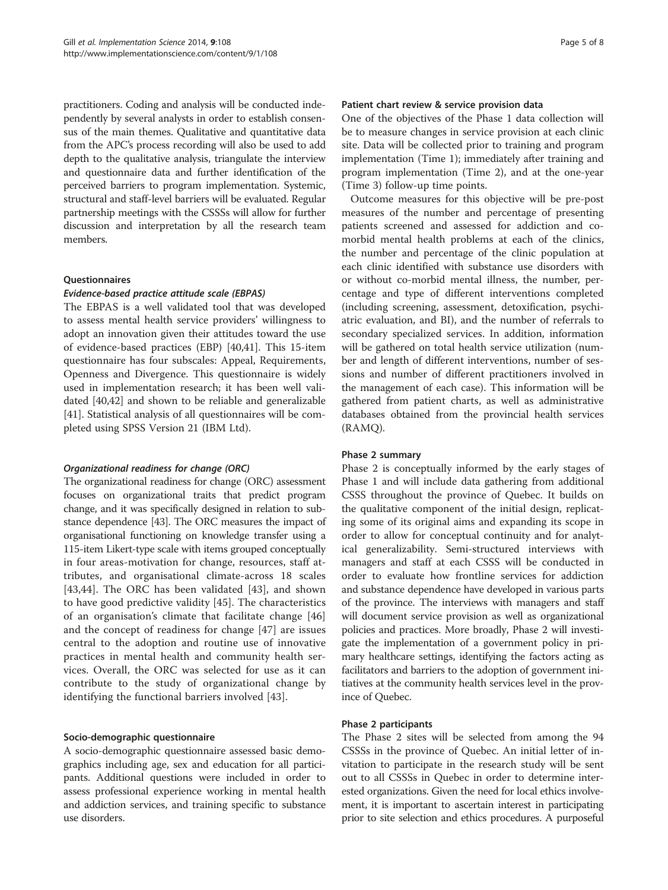practitioners. Coding and analysis will be conducted independently by several analysts in order to establish consensus of the main themes. Qualitative and quantitative data from the APC's process recording will also be used to add depth to the qualitative analysis, triangulate the interview and questionnaire data and further identification of the perceived barriers to program implementation. Systemic, structural and staff-level barriers will be evaluated. Regular partnership meetings with the CSSSs will allow for further discussion and interpretation by all the research team members.

## Questionnaires

#### Evidence-based practice attitude scale (EBPAS)

The EBPAS is a well validated tool that was developed to assess mental health service providers' willingness to adopt an innovation given their attitudes toward the use of evidence-based practices (EBP) [\[40,41](#page-7-0)]. This 15-item questionnaire has four subscales: Appeal, Requirements, Openness and Divergence. This questionnaire is widely used in implementation research; it has been well validated [[40](#page-7-0),[42](#page-7-0)] and shown to be reliable and generalizable [[41\]](#page-7-0). Statistical analysis of all questionnaires will be completed using SPSS Version 21 (IBM Ltd).

#### Organizational readiness for change (ORC)

The organizational readiness for change (ORC) assessment focuses on organizational traits that predict program change, and it was specifically designed in relation to substance dependence [[43](#page-7-0)]. The ORC measures the impact of organisational functioning on knowledge transfer using a 115-item Likert-type scale with items grouped conceptually in four areas-motivation for change, resources, staff attributes, and organisational climate-across 18 scales [[43,44](#page-7-0)]. The ORC has been validated [\[43](#page-7-0)], and shown to have good predictive validity [\[45](#page-7-0)]. The characteristics of an organisation's climate that facilitate change [\[46](#page-7-0)] and the concept of readiness for change [\[47](#page-7-0)] are issues central to the adoption and routine use of innovative practices in mental health and community health services. Overall, the ORC was selected for use as it can contribute to the study of organizational change by identifying the functional barriers involved [\[43](#page-7-0)].

#### Socio-demographic questionnaire

A socio-demographic questionnaire assessed basic demographics including age, sex and education for all participants. Additional questions were included in order to assess professional experience working in mental health and addiction services, and training specific to substance use disorders.

#### Patient chart review & service provision data

One of the objectives of the Phase 1 data collection will be to measure changes in service provision at each clinic site. Data will be collected prior to training and program implementation (Time 1); immediately after training and program implementation (Time 2), and at the one-year (Time 3) follow-up time points.

Outcome measures for this objective will be pre-post measures of the number and percentage of presenting patients screened and assessed for addiction and comorbid mental health problems at each of the clinics, the number and percentage of the clinic population at each clinic identified with substance use disorders with or without co-morbid mental illness, the number, percentage and type of different interventions completed (including screening, assessment, detoxification, psychiatric evaluation, and BI), and the number of referrals to secondary specialized services. In addition, information will be gathered on total health service utilization (number and length of different interventions, number of sessions and number of different practitioners involved in the management of each case). This information will be gathered from patient charts, as well as administrative databases obtained from the provincial health services (RAMQ).

#### Phase 2 summary

Phase 2 is conceptually informed by the early stages of Phase 1 and will include data gathering from additional CSSS throughout the province of Quebec. It builds on the qualitative component of the initial design, replicating some of its original aims and expanding its scope in order to allow for conceptual continuity and for analytical generalizability. Semi-structured interviews with managers and staff at each CSSS will be conducted in order to evaluate how frontline services for addiction and substance dependence have developed in various parts of the province. The interviews with managers and staff will document service provision as well as organizational policies and practices. More broadly, Phase 2 will investigate the implementation of a government policy in primary healthcare settings, identifying the factors acting as facilitators and barriers to the adoption of government initiatives at the community health services level in the province of Quebec.

## Phase 2 participants

The Phase 2 sites will be selected from among the 94 CSSSs in the province of Quebec. An initial letter of invitation to participate in the research study will be sent out to all CSSSs in Quebec in order to determine interested organizations. Given the need for local ethics involvement, it is important to ascertain interest in participating prior to site selection and ethics procedures. A purposeful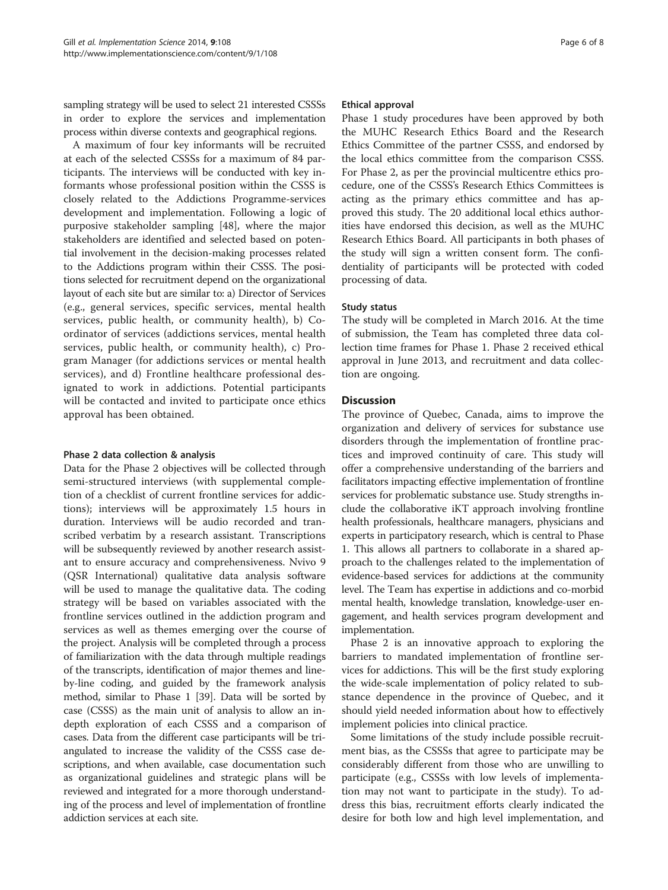sampling strategy will be used to select 21 interested CSSSs in order to explore the services and implementation process within diverse contexts and geographical regions.

A maximum of four key informants will be recruited at each of the selected CSSSs for a maximum of 84 participants. The interviews will be conducted with key informants whose professional position within the CSSS is closely related to the Addictions Programme-services development and implementation. Following a logic of purposive stakeholder sampling [[48\]](#page-7-0), where the major stakeholders are identified and selected based on potential involvement in the decision-making processes related to the Addictions program within their CSSS. The positions selected for recruitment depend on the organizational layout of each site but are similar to: a) Director of Services (e.g., general services, specific services, mental health services, public health, or community health), b) Coordinator of services (addictions services, mental health services, public health, or community health), c) Program Manager (for addictions services or mental health services), and d) Frontline healthcare professional designated to work in addictions. Potential participants will be contacted and invited to participate once ethics approval has been obtained.

## Phase 2 data collection & analysis

Data for the Phase 2 objectives will be collected through semi-structured interviews (with supplemental completion of a checklist of current frontline services for addictions); interviews will be approximately 1.5 hours in duration. Interviews will be audio recorded and transcribed verbatim by a research assistant. Transcriptions will be subsequently reviewed by another research assistant to ensure accuracy and comprehensiveness. Nvivo 9 (QSR International) qualitative data analysis software will be used to manage the qualitative data. The coding strategy will be based on variables associated with the frontline services outlined in the addiction program and services as well as themes emerging over the course of the project. Analysis will be completed through a process of familiarization with the data through multiple readings of the transcripts, identification of major themes and lineby-line coding, and guided by the framework analysis method, similar to Phase 1 [[39](#page-7-0)]. Data will be sorted by case (CSSS) as the main unit of analysis to allow an indepth exploration of each CSSS and a comparison of cases. Data from the different case participants will be triangulated to increase the validity of the CSSS case descriptions, and when available, case documentation such as organizational guidelines and strategic plans will be reviewed and integrated for a more thorough understanding of the process and level of implementation of frontline addiction services at each site.

#### Ethical approval

Phase 1 study procedures have been approved by both the MUHC Research Ethics Board and the Research Ethics Committee of the partner CSSS, and endorsed by the local ethics committee from the comparison CSSS. For Phase 2, as per the provincial multicentre ethics procedure, one of the CSSS's Research Ethics Committees is acting as the primary ethics committee and has approved this study. The 20 additional local ethics authorities have endorsed this decision, as well as the MUHC Research Ethics Board. All participants in both phases of the study will sign a written consent form. The confidentiality of participants will be protected with coded processing of data.

#### Study status

The study will be completed in March 2016. At the time of submission, the Team has completed three data collection time frames for Phase 1. Phase 2 received ethical approval in June 2013, and recruitment and data collection are ongoing.

#### **Discussion**

The province of Quebec, Canada, aims to improve the organization and delivery of services for substance use disorders through the implementation of frontline practices and improved continuity of care. This study will offer a comprehensive understanding of the barriers and facilitators impacting effective implementation of frontline services for problematic substance use. Study strengths include the collaborative iKT approach involving frontline health professionals, healthcare managers, physicians and experts in participatory research, which is central to Phase 1. This allows all partners to collaborate in a shared approach to the challenges related to the implementation of evidence-based services for addictions at the community level. The Team has expertise in addictions and co-morbid mental health, knowledge translation, knowledge-user engagement, and health services program development and implementation.

Phase 2 is an innovative approach to exploring the barriers to mandated implementation of frontline services for addictions. This will be the first study exploring the wide-scale implementation of policy related to substance dependence in the province of Quebec, and it should yield needed information about how to effectively implement policies into clinical practice.

Some limitations of the study include possible recruitment bias, as the CSSSs that agree to participate may be considerably different from those who are unwilling to participate (e.g., CSSSs with low levels of implementation may not want to participate in the study). To address this bias, recruitment efforts clearly indicated the desire for both low and high level implementation, and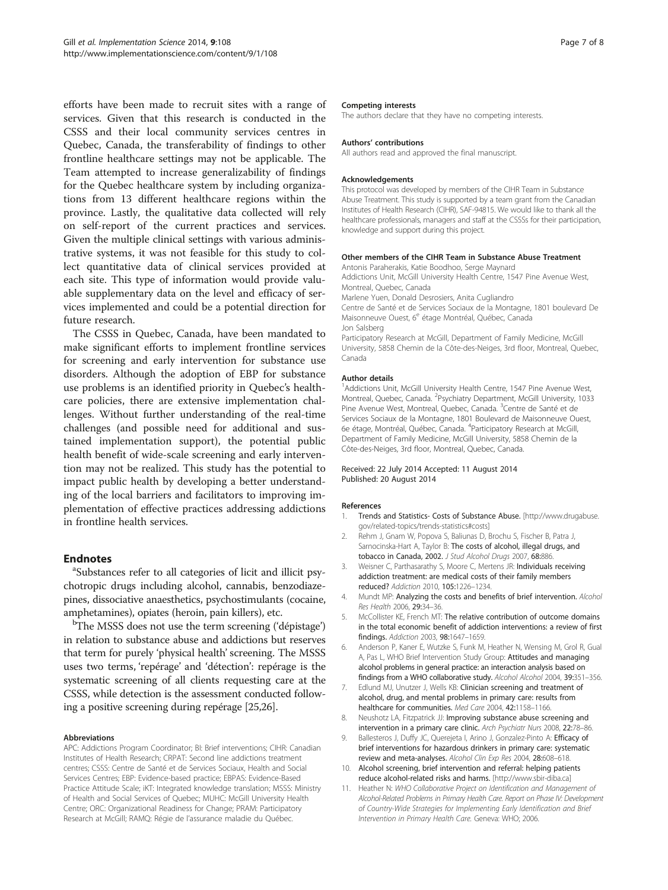<span id="page-6-0"></span>efforts have been made to recruit sites with a range of services. Given that this research is conducted in the CSSS and their local community services centres in Quebec, Canada, the transferability of findings to other frontline healthcare settings may not be applicable. The Team attempted to increase generalizability of findings for the Quebec healthcare system by including organizations from 13 different healthcare regions within the province. Lastly, the qualitative data collected will rely on self-report of the current practices and services. Given the multiple clinical settings with various administrative systems, it was not feasible for this study to collect quantitative data of clinical services provided at each site. This type of information would provide valuable supplementary data on the level and efficacy of services implemented and could be a potential direction for future research.

The CSSS in Quebec, Canada, have been mandated to make significant efforts to implement frontline services for screening and early intervention for substance use disorders. Although the adoption of EBP for substance use problems is an identified priority in Quebec's healthcare policies, there are extensive implementation challenges. Without further understanding of the real-time challenges (and possible need for additional and sustained implementation support), the potential public health benefit of wide-scale screening and early intervention may not be realized. This study has the potential to impact public health by developing a better understanding of the local barriers and facilitators to improving implementation of effective practices addressing addictions in frontline health services.

#### **Endnotes**

Substances refer to all categories of licit and illicit psychotropic drugs including alcohol, cannabis, benzodiazepines, dissociative anaesthetics, psychostimulants (cocaine, amphetamines), opiates (heroin, pain killers), etc.

<sup>b</sup>The MSSS does not use the term screening ('dépistage') in relation to substance abuse and addictions but reserves that term for purely 'physical health' screening. The MSSS uses two terms, 'repérage' and 'détection': repérage is the systematic screening of all clients requesting care at the CSSS, while detection is the assessment conducted following a positive screening during repérage [\[25,26\]](#page-7-0).

#### Abbreviations

APC: Addictions Program Coordinator; BI: Brief interventions; CIHR: Canadian Institutes of Health Research; CRPAT: Second line addictions treatment centres; CSSS: Centre de Santé et de Services Sociaux, Health and Social Services Centres; EBP: Evidence-based practice; EBPAS: Evidence-Based Practice Attitude Scale; iKT: Integrated knowledge translation; MSSS: Ministry of Health and Social Services of Quebec; MUHC: McGill University Health Centre; ORC: Organizational Readiness for Change; PRAM: Participatory Research at McGill; RAMQ: Régie de l'assurance maladie du Québec.

#### Competing interests

The authors declare that they have no competing interests.

#### Authors' contributions

All authors read and approved the final manuscript.

#### Acknowledgements

This protocol was developed by members of the CIHR Team in Substance Abuse Treatment. This study is supported by a team grant from the Canadian Institutes of Health Research (CIHR), SAF-94815. We would like to thank all the healthcare professionals, managers and staff at the CSSSs for their participation, knowledge and support during this project.

#### Other members of the CIHR Team in Substance Abuse Treatment

Antonis Paraherakis, Katie Boodhoo, Serge Maynard Addictions Unit, McGill University Health Centre, 1547 Pine Avenue West, Montreal, Quebec, Canada

Marlene Yuen, Donald Desrosiers, Anita Cugliandro

Centre de Santé et de Services Sociaux de la Montagne, 1801 boulevard De Maisonneuve Ouest, 6<sup>e</sup> étage Montréal, Québec, Canada

Jon Salsberg

Participatory Research at McGill, Department of Family Medicine, McGill University, 5858 Chemin de la Côte-des-Neiges, 3rd floor, Montreal, Quebec, Canada

#### Author details

<sup>1</sup> Addictions Unit, McGill University Health Centre, 1547 Pine Avenue West Montreal, Quebec, Canada. <sup>2</sup>Psychiatry Department, McGill University, 1033 Pine Avenue West, Montreal, Quebec, Canada. <sup>3</sup>Centre de Santé et de Services Sociaux de la Montagne, 1801 Boulevard de Maisonneuve Ouest, 6e étage, Montréal, Québec, Canada. <sup>4</sup>Participatory Research at McGill Department of Family Medicine, McGill University, 5858 Chemin de la Côte-des-Neiges, 3rd floor, Montreal, Quebec, Canada.

#### Received: 22 July 2014 Accepted: 11 August 2014 Published: 20 August 2014

#### References

- 1. Trends and Statistics- Costs of Substance Abuse. [\[http://www.drugabuse.](http://www.drugabuse.gov/related-topics/trends-statistics#costs) [gov/related-topics/trends-statistics#costs](http://www.drugabuse.gov/related-topics/trends-statistics#costs)]
- 2. Rehm J, Gnam W, Popova S, Baliunas D, Brochu S, Fischer B, Patra J, Sarnocinska-Hart A, Taylor B: The costs of alcohol, illegal drugs, and tobacco in Canada, 2002. J Stud Alcohol Drugs 2007, 68:886.
- 3. Weisner C, Parthasarathy S, Moore C, Mertens JR: Individuals receiving addiction treatment: are medical costs of their family members reduced? Addiction 2010, 105:1226–1234.
- 4. Mundt MP: Analyzing the costs and benefits of brief intervention. Alcohol Res Health 2006, 29:34–36.
- 5. McCollister KE, French MT: The relative contribution of outcome domains in the total economic benefit of addiction interventions: a review of first findings. Addiction 2003, 98:1647–1659.
- 6. Anderson P, Kaner E, Wutzke S, Funk M, Heather N, Wensing M, Grol R, Gual A, Pas L, WHO Brief Intervention Study Group: Attitudes and managing alcohol problems in general practice: an interaction analysis based on findings from a WHO collaborative study. Alcohol Alcohol 2004, 39:351–356.
- 7. Edlund MJ, Unutzer J, Wells KB: Clinician screening and treatment of alcohol, drug, and mental problems in primary care: results from healthcare for communities. Med Care 2004, 42:1158–1166.
- 8. Neushotz LA, Fitzpatrick JJ: Improving substance abuse screening and intervention in a primary care clinic. Arch Psychiatr Nurs 2008, 22:78–86.
- 9. Ballesteros J, Duffy JC, Querejeta I, Arino J, Gonzalez-Pinto A: Efficacy of brief interventions for hazardous drinkers in primary care: systematic review and meta-analyses. Alcohol Clin Exp Res 2004, 28:608–618.
- 10. Alcohol screening, brief intervention and referral: helping patients reduce alcohol-related risks and harms. [\[http://www.sbir-diba.ca\]](http://www.sbir-diba.ca)
- 11. Heather N: WHO Collaborative Project on Identification and Management of Alcohol-Related Problems in Primary Health Care. Report on Phase IV: Development of Country-Wide Strategies for Implementing Early Identification and Brief Intervention in Primary Health Care. Geneva: WHO; 2006.